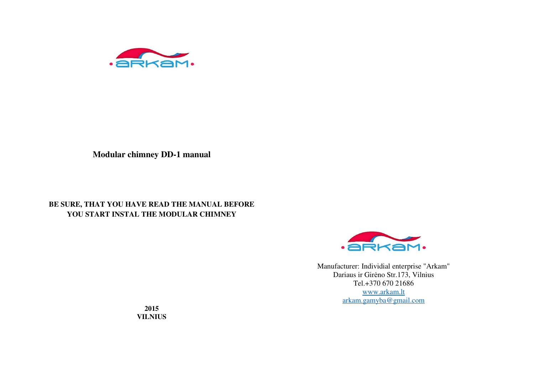

**Modular chimney DD-1 manual**

# **BE SURE, THAT YOU HAVE READ THE MANUAL BEFORE YOU START INSTAL THE MODULAR CHIMNEY**



Manufacturer: Individial enterprise "Arkam" Dariaus ir Girėno Str.173, Vilnius Tel.+370 670 21686 www.arkam.ltarkam.gamyba@gmail.com

**2015VILNIUS**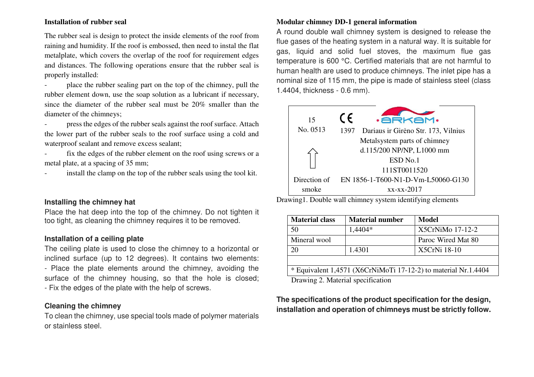#### **Installation of rubber seal**

The rubber seal is design to protect the inside elements of the roof from raining and humidity. If the roof is embossed, then need to instal the flat metalplate, which covers the overlap of the roof for requirement edges and distances. The following operations ensure that the rubber seal is properly installed:

- place the rubber sealing part on the top of the chimney, pull the rubber element down, use the soap solution as a lubricant if necessary, since the diameter of the rubber seal must be 20% smaller than the diameter of the chimneys;

- press the edges of the rubber seals against the roof surface. Attach the lower part of the rubber seals to the roof surface using a cold and waterproof sealant and remove excess sealant;

- fix the edges of the rubber element on the roof using screws or a metal plate, at a spacing of 35 mm;

install the clamp on the top of the rubber seals using the tool kit.

## **Installing the chimney hat**

Place the hat deep into the top of the chimney. Do not tighten it too tight, as cleaning the chimney requires it to be removed.

## **Installation of a ceiling plate**

 The ceiling plate is used to close the chimney to a horizontal or inclined surface (up to 12 degrees). It contains two elements: - Place the plate elements around the chimney, avoiding the surface of the chimney housing, so that the hole is closed; - Fix the edges of the plate with the help of screws.

## **Cleaning the chimney**

 To clean the chimney, use special tools made of polymer materials or stainless steel.

#### **Modular chimney DD-1 general information**

A round double wall chimney system is designed to release the flue gases of the heating system in a natural way. It is suitable for gas, liquid and solid fuel stoves, the maximum flue gas temperature is 600 °C. Certified materials that are not harmful to human health are used to produce chimneys. The inlet pipe has a nominal size of 115 mm, the pipe is made of stainless steel (class 1.4404, thickness - 0.6 mm).



Drawing1. Double wall chimney system identifying elements

| <b>Material class</b>                                          | <b>Material number</b> | Model              |  |  |
|----------------------------------------------------------------|------------------------|--------------------|--|--|
| 50                                                             | $1,4404*$              | X5CrNiMo 17-12-2   |  |  |
| Mineral wool                                                   |                        | Paroc Wired Mat 80 |  |  |
| 20                                                             | 1.4301                 | X5CrNi 18-10       |  |  |
|                                                                |                        |                    |  |  |
| * Equivalent 1,4571 (X6CrNiMoTi 17-12-2) to material Nr.1.4404 |                        |                    |  |  |
| Drawing 2. Material specification                              |                        |                    |  |  |

**The specifications of the product specification for the design, installation and operation of chimneys must be strictly follow.**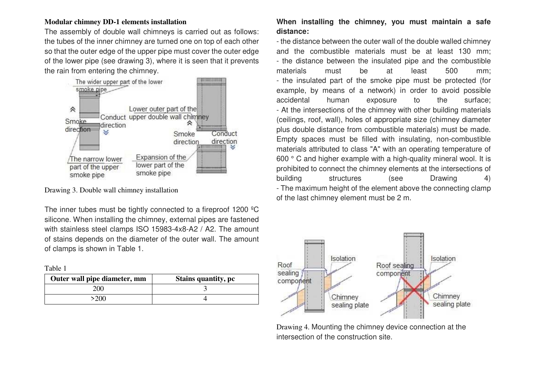#### **Modular chimney DD-1 elements installation**

The assembly of double wall chimneys is carried out as follows: the tubes of the inner chimney are turned one on top of each other so that the outer edge of the upper pipe must cover the outer edge of the lower pipe (see drawing 3), where it is seen that it prevents the rain from entering the chimney.



Drawing 3. Double wall chimney installation

The inner tubes must be tightly connected to a fireproof 1200 ºC silicone. When installing the chimney, external pipes are fastened with stainless steel clamps ISO 15983-4x8-A2 / A2. The amount of stains depends on the diameter of the outer wall. The amount of clamps is shown in Table 1.

| ı. |  |
|----|--|
|    |  |

| Outer wall pipe diameter, mm | <b>Stains quantity, pc</b> |  |
|------------------------------|----------------------------|--|
| 200-                         |                            |  |
| 200                          |                            |  |

# **When installing the chimney, you must maintain a safe distance:**

- the distance between the outer wall of the double walled chimney and the combustible materials must be at least 130 mm; - the distance between the insulated pipe and the combustible materials must be at least 500 mm; - the insulated part of the smoke pipe must be protected (for example, by means of a network) in order to avoid possible accidental human exposure to the surface; - At the intersections of the chimney with other building materials (ceilings, roof, wall), holes of appropriate size (chimney diameter plus double distance from combustible materials) must be made. Empty spaces must be filled with insulating, non-combustible materials attributed to class "A" with an operating temperature of 600 ° C and higher example with a high-quality mineral wool. It is prohibited to connect the chimney elements at the intersections of building structures (see Drawing 4) - The maximum height of the element above the connecting clamp of the last chimney element must be 2 m.



Drawing 4. Mounting the chimney device connection at the intersection of the construction site.